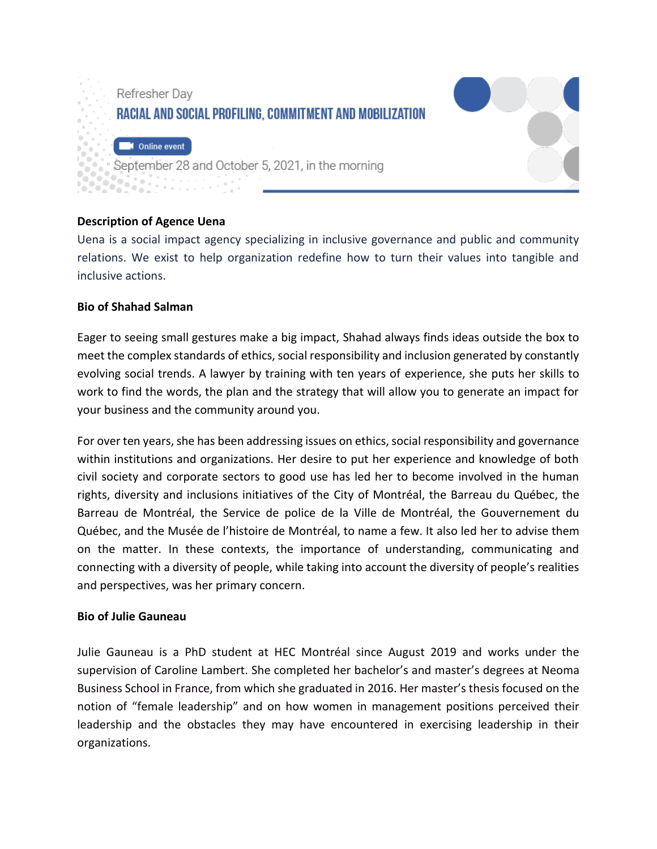

## Online event

September 28 and October 5, 2021, in the morning

## **Description of Agence Uena**

Uena is a social impact agency specializing in inclusive governance and public and community relations. We exist to help organization redefine how to turn their values into tangible and inclusive actions.

## **Bio of Shahad Salman**

Eager to seeing small gestures make a big impact, Shahad always finds ideas outside the box to meet the complex standards of ethics, social responsibility and inclusion generated by constantly evolving social trends. A lawyer by training with ten years of experience, she puts her skills to work to find the words, the plan and the strategy that will allow you to generate an impact for your business and the community around you.

For over ten years, she has been addressing issues on ethics, social responsibility and governance within institutions and organizations. Her desire to put her experience and knowledge of both civil society and corporate sectors to good use has led her to become involved in the human rights, diversity and inclusions initiatives of the City of Montréal, the Barreau du Québec, the Barreau de Montréal, the Service de police de la Ville de Montréal, the Gouvernement du Québec, and the Musée de l'histoire de Montréal, to name a few. It also led her to advise them on the matter. In these contexts, the importance of understanding, communicating and connecting with a diversity of people, while taking into account the diversity of people's realities and perspectives, was her primary concern.

## **Bio of Julie Gauneau**

Julie Gauneau is a PhD student at HEC Montréal since August 2019 and works under the supervision of Caroline Lambert. She completed her bachelor's and master's degrees at Neoma Business School in France, from which she graduated in 2016. Her master's thesis focused on the notion of "female leadership" and on how women in management positions perceived their leadership and the obstacles they may have encountered in exercising leadership in their organizations.